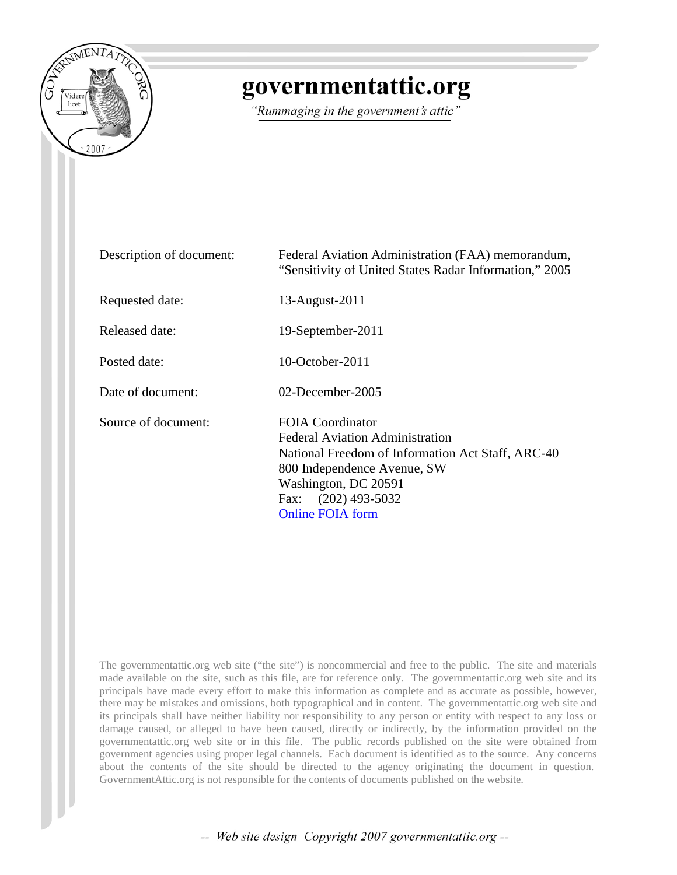

## governmentattic.org

"Rummaging in the government's attic"

| Description of document: | Federal Aviation Administration (FAA) memorandum,<br>"Sensitivity of United States Radar Information," 2005                                                                                                                          |
|--------------------------|--------------------------------------------------------------------------------------------------------------------------------------------------------------------------------------------------------------------------------------|
| Requested date:          | 13-August-2011                                                                                                                                                                                                                       |
| Released date:           | 19-September-2011                                                                                                                                                                                                                    |
| Posted date:             | $10$ -October-2011                                                                                                                                                                                                                   |
| Date of document:        | $02$ -December-2005                                                                                                                                                                                                                  |
| Source of document:      | <b>FOIA Coordinator</b><br><b>Federal Aviation Administration</b><br>National Freedom of Information Act Staff, ARC-40<br>800 Independence Avenue, SW<br>Washington, DC 20591<br>$(202)$ 493-5032<br>Fax:<br><b>Online FOIA form</b> |

The governmentattic.org web site ("the site") is noncommercial and free to the public. The site and materials made available on the site, such as this file, are for reference only. The governmentattic.org web site and its principals have made every effort to make this information as complete and as accurate as possible, however, there may be mistakes and omissions, both typographical and in content. The governmentattic.org web site and its principals shall have neither liability nor responsibility to any person or entity with respect to any loss or damage caused, or alleged to have been caused, directly or indirectly, by the information provided on the governmentattic.org web site or in this file. The public records published on the site were obtained from government agencies using proper legal channels. Each document is identified as to the source. Any concerns about the contents of the site should be directed to the agency originating the document in question. GovernmentAttic.org is not responsible for the contents of documents published on the website.

-- Web site design Copyright 2007 governmentattic.org --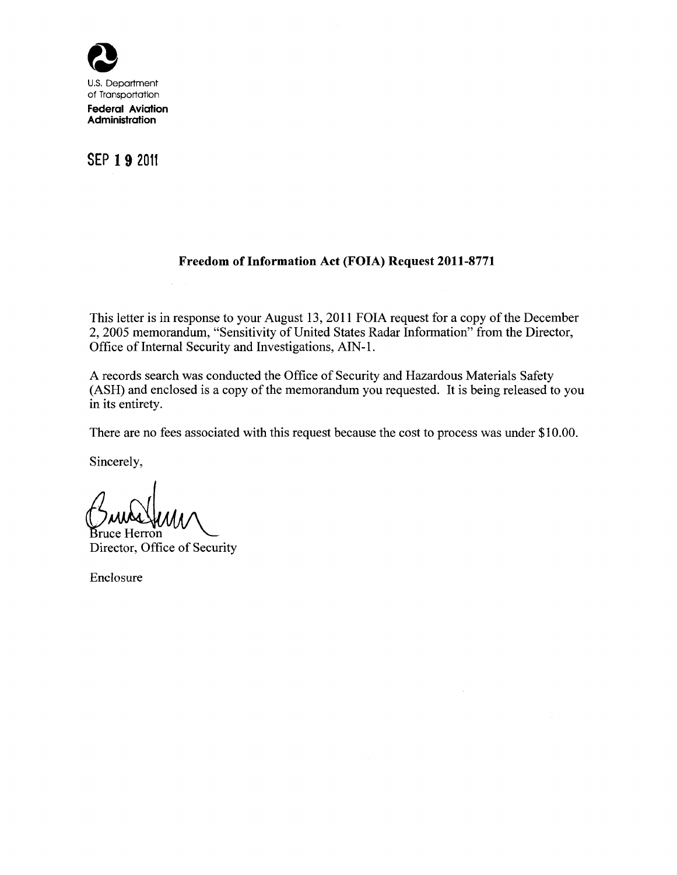

U.S. Department of Transportation **Federal Aviation Administration** 

### **SEP 1 9 2011**

#### **Freedom of Information Act (FOIA) Request 2011-8771**

This letter is in response to your August 13, 2011 FOIA request for a copy of the December 2, 2005 memorandum, "Sensitivity of United States Radar Information" from the Director, Office of Internal Security and Investigations, AIN-1.

A records search was conducted the Office of Security and Hazardous Materials Safety (ASH) and enclosed is a copy of the memorandum you requested. It is being released to you in its entirety.

There are no fees associated with this request because the cost to process was under \$10.00.

Sincerely,

Bruce Herron Director, Office of Security

Enclosure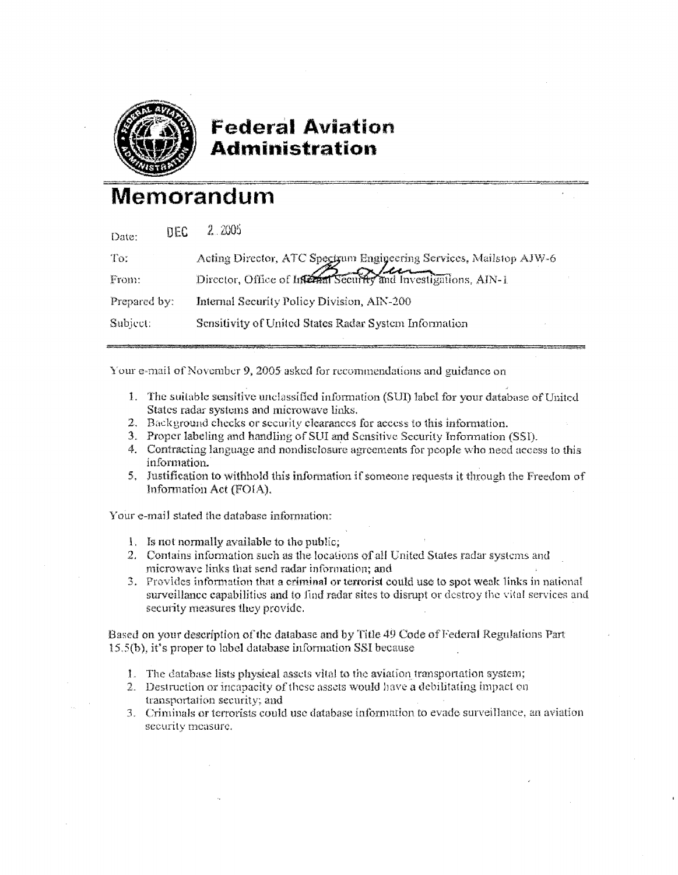

### **Federal Aviation Administration**

# Memorandum

| Date:        | <b>DEC</b> | 2,2005                                                                                                                                |  |
|--------------|------------|---------------------------------------------------------------------------------------------------------------------------------------|--|
| To:          |            | Acting Director, ATC Spectrum Engineering Services, Mailstop AJW-6<br>Director, Office of Life and Security and Investigations, AIN-1 |  |
| From:        |            |                                                                                                                                       |  |
| Prepared by: |            | Internal Security Policy Division, AIN-200                                                                                            |  |
| Subject:     |            | Sensitivity of United States Radar System Information                                                                                 |  |
|              |            |                                                                                                                                       |  |

Your e-mail of November 9, 2005 asked for recommendations and guidance on

- 1. The suitable sensitive unclassified information (SUI) label for your database of United States radar systems and microwave links.
- 2. Background checks or security clearances for access to this information.
- 3. Proper labeling and handling of SUI and Sensitive Security Information (SSI).
- 4. Contracting language and nondisclosure agreements for people who need access to this information.
- 5. Justification to withhold this information if someone requests it through the Freedom of Information Act (FOIA).

Your e-mail stated the database information:

- 1. Is not normally available to the public;
- 2. Contains information such as the locations of all United States radar systems and microwave links that send radar information; and
- 3. Provides information that a criminal or terrorist could use to spot weak links in national surveillance capabilities and to find radar sites to disrupt or destroy the vital services and security measures they provide.

Based on your description of the database and by Title 49 Code of Federal Regulations Part 15.5(b), it's proper to label database information SSI because

- 1. The database lists physical assets vital to the aviation transportation system;
- 2. Destruction or incapacity of these assets would have a debilitating impact on transportation security; and
- 3. Criminals or terrorists could use database information to evade surveillance, an aviation security measure.